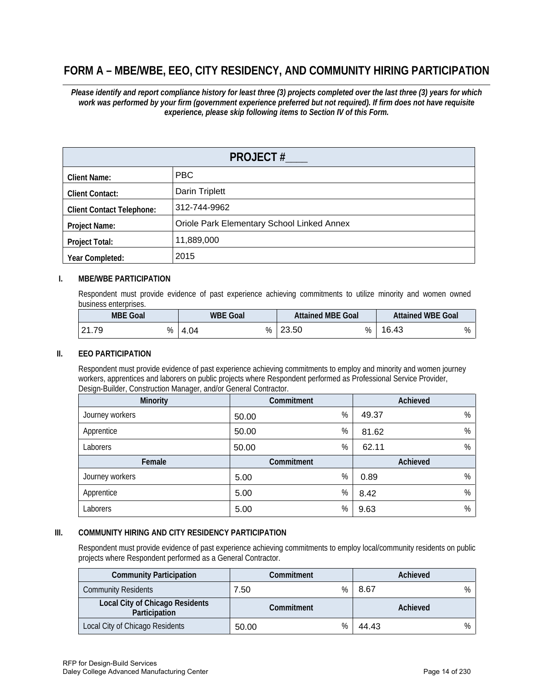# **FORM A – MBE/WBE, EEO, CITY RESIDENCY, AND COMMUNITY HIRING PARTICIPATION**

*Please identify and report compliance history for least three (3) projects completed over the last three (3) years for which work was performed by your firm (government experience preferred but not required). If firm does not have requisite experience, please skip following items to Section IV of this Form.*

| <b>PROJECT #</b>                 |                                            |  |
|----------------------------------|--------------------------------------------|--|
| <b>Client Name:</b>              | PBC                                        |  |
| <b>Client Contact:</b>           | Darin Triplett                             |  |
| <b>Client Contact Telephone:</b> | 312-744-9962                               |  |
| <b>Project Name:</b>             | Oriole Park Elementary School Linked Annex |  |
| <b>Project Total:</b>            | 11,889,000                                 |  |
| Year Completed:                  | 2015                                       |  |

## **I. MBE/WBE PARTICIPATION**

Respondent must provide evidence of past experience achieving commitments to utilize minority and women owned business enterprises.

| <b>MBE Goal</b> | <b>WBE Goal</b> | <b>Attained MBE Goal</b> | <b>Attained WBE Goal</b> |
|-----------------|-----------------|--------------------------|--------------------------|
| .79<br>ົດ 4     | %<br>4.04       | 23.50<br>%<br>nn.        | 16.<br>.43<br>%          |

#### **II. EEO PARTICIPATION**

Respondent must provide evidence of past experience achieving commitments to employ and minority and women journey workers, apprentices and laborers on public projects where Respondent performed as Professional Service Provider, Design-Builder, Construction Manager, and/or General Contractor.

| <b>Minority</b>                                                                                                                                                                                                                              | Commitment             | Achieved     |  |
|----------------------------------------------------------------------------------------------------------------------------------------------------------------------------------------------------------------------------------------------|------------------------|--------------|--|
| Journey workers                                                                                                                                                                                                                              | %<br>50.00             | %<br>49.37   |  |
| Apprentice                                                                                                                                                                                                                                   | %<br>50.00             | %<br>81.62   |  |
| Laborers                                                                                                                                                                                                                                     | %<br>50.00             | %<br>62.11   |  |
| Female                                                                                                                                                                                                                                       | Commitment             | Achieved     |  |
| Journey workers                                                                                                                                                                                                                              | %<br>5.00              | %<br>0.89    |  |
| Apprentice                                                                                                                                                                                                                                   | %<br>5.00              | %<br>8.42    |  |
| Laborers                                                                                                                                                                                                                                     | %<br>5.00              | $\%$<br>9.63 |  |
| COMMUNITY HIRING AND CITY RESIDENCY PARTICIPATION<br>Respondent must provide evidence of past experience achieving commitments to employ local/community residents on public<br>projects where Respondent performed as a General Contractor. |                        |              |  |
| <b>Community Participation</b>                                                                                                                                                                                                               | Commitment             | Achieved     |  |
| <b>Community Residents</b>                                                                                                                                                                                                                   | %<br>7.50              | 8.67<br>$\%$ |  |
| <b>Local City of Chicago Residents</b><br>Participation                                                                                                                                                                                      | Commitment<br>Achieved |              |  |
| Local City of Chicago Residents                                                                                                                                                                                                              | %<br>50.00             | %<br>44.43   |  |

#### **III. COMMUNITY HIRING AND CITY RESIDENCY PARTICIPATION**

| <b>Community Participation</b>                   | Commitment |      | Achieved |   |
|--------------------------------------------------|------------|------|----------|---|
| <b>Community Residents</b>                       | .50        | $\%$ | 8.67     | % |
| Local City of Chicago Residents<br>Participation | Commitment |      | Achieved |   |
| Local City of Chicago Residents                  | 50.00      | %    | 44.43    | ℅ |